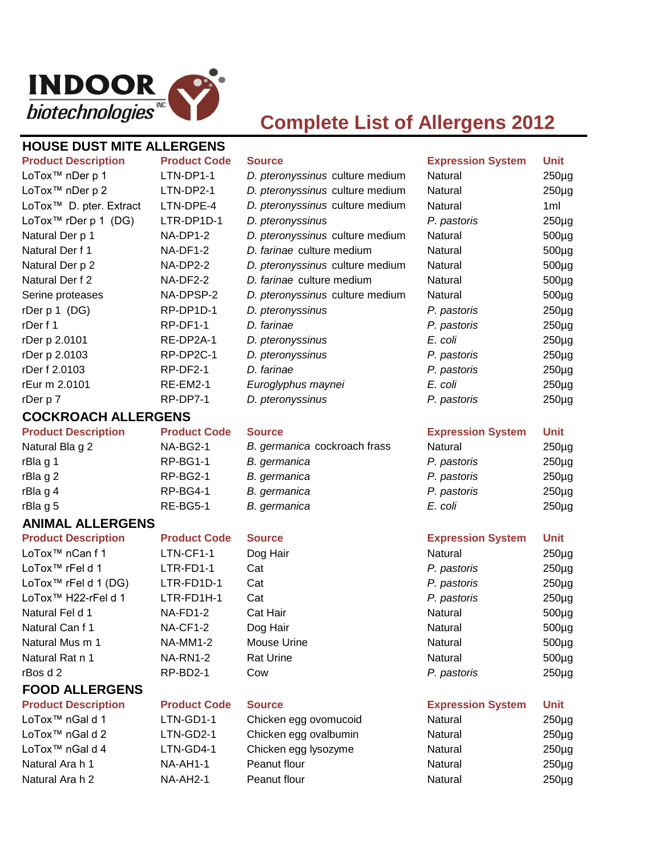

# **Complete List of Allergens 2012**

## **HOUSE DUST MITE ALLERGENS**

| <b>Product Description</b>          | <b>Product Code</b> | <b>Source</b>                   | <b>Expression System</b> | Unit      |
|-------------------------------------|---------------------|---------------------------------|--------------------------|-----------|
| LoTox <sup>™</sup> nDer p 1         | LTN-DP1-1           | D. pteronyssinus culture medium | Natural                  | $250\mug$ |
| LoTox <sup>™</sup> nDer p 2         | LTN-DP2-1           | D. pteronyssinus culture medium | Natural                  | $250\mug$ |
| LoTox <sup>™</sup> D. pter. Extract | LTN-DPE-4           | D. pteronyssinus culture medium | Natural                  | 1ml       |
| LoTox <sup>™</sup> rDer p 1 (DG)    | LTR-DP1D-1          | D. pteronyssinus                | P. pastoris              | $250\mug$ |
| Natural Der p 1                     | $NA-DP1-2$          | D. pteronyssinus culture medium | Natural                  | $500\mug$ |
| Natural Der f 1                     | NA-DF1-2            | D. farinae culture medium       | Natural                  | $500\mug$ |
| Natural Der p 2                     | NA-DP2-2            | D. pteronyssinus culture medium | Natural                  | $500\mug$ |
| Natural Der f 2                     | NA-DF2-2            | D. farinae culture medium       | Natural                  | $500\mug$ |
| Serine proteases                    | NA-DPSP-2           | D. pteronyssinus culture medium | Natural                  | $500\mug$ |
| rDer $p 1$ (DG)                     | RP-DP1D-1           | D. pteronyssinus                | P. pastoris              | $250\mug$ |
| rDer f 1                            | RP-DF1-1            | D. farinae                      | P. pastoris              | $250\mug$ |
| rDer p 2.0101                       | RE-DP2A-1           | D. pteronyssinus                | E. coli                  | $250\mug$ |
| rDer p 2.0103                       | RP-DP2C-1           | D. pteronyssinus                | P. pastoris              | $250\mug$ |
| rDer f 2.0103                       | RP-DF2-1            | D. farinae                      | P. pastoris              | $250\mug$ |
| rEur m 2.0101                       | $RE-EM2-1$          | Euroglyphus maynei              | E. coli                  | $250\mug$ |
| rDer p 7                            | RP-DP7-1            | D. pteronyssinus                | P. pastoris              | $250\mug$ |

### **COCKROACH ALLERGENS**

# **Product Description Product Code Source Expression System Unit**

# rBla g 1 **RP-BG1-1** *B. germanica P. pastoris B. parmanica* rBla g 2 **RP-BG2-1** *B. germanica P* rBla g 4 **Propastal RP-BG4-1** *B. germanica P. pastoris in the RP-BG4-1 B. germanica* rBla g 5 **RE-BG5-1** *B. germanica* B. *E*.

## **ANIMAL ALLERGENS**

LoTox<sup>™</sup> nCan f 1 LTN-CF1-1 Dog Hair LoTox<sup>™</sup> rFel d 1 **LTR-FD1-1** Cat LoTox<sup>™</sup> rFel d 1 (DG) LTR-FD1D-1 Cat LoTox<sup>™</sup> H22-rFel d 1 LTR-FD1H-1 Cat Natural Fel d 1 NA-FD1-2 Cat Hair Natural Can f 1 NA-CF1-2 Dog Hair Natural Mus m 1 NA-MM1-2 Mouse Urine Natural Rat n 1 NA-RN1-2 Rat Urine

# **FOOD ALLERGENS**

| D. pteronyssinus culture r |
|----------------------------|
| D. pteronyssinus culture r |
| D. pteronyssinus           |
| D. pteronyssinus culture r |
| D. farinae culture medium  |
| D. pteronyssinus culture r |
| D. farinae culture medium  |
| D. pteronyssinus culture r |
| D. pteronyssinus           |
| D. farinae                 |
|                            |

Natural Bla g 2 **NA-BG2-1** *B. germanica* cockroach frass N

LoTox™ nGal d 1 LTN-GD1-1 Chicken egg ovomucoid N LoTox™ nGal d 2 LTN-GD2-1 Chicken egg ovalbumin N LoTox™ nGal d 4 LTN-GD4-1 Chicken egg lysozyme Natural Ara h 1 NA-AH1-1 Peanut flour Natural 250 N Natural Ara h 2 NA-AH2-1 Peanut flour Natural 250

| <b>Expression System</b> | Unit            |
|--------------------------|-----------------|
| <b>Natural</b>           | $250\mug$       |
| Vatural                  | $250\mug$       |
| Vatural                  | 1 <sub>ml</sub> |
| P. pastoris              | $250\mug$       |
| Vatural                  | $500\mug$       |
| Vatural                  | $500\mug$       |
| Vatural                  | $500\mug$       |
| <b>Natural</b>           | $500\mug$       |
| Vatural                  | $500\mug$       |
| P. pastoris              | $250\mug$       |
| P. pastoris              | $250\mug$       |
| E. coli                  | $250\mug$       |
| P. pastoris              | $250\mug$       |
| P. pastoris              | $250\mug$       |
| E. coli                  | $250\mug$       |
| P. pastoris              | $250\mug$       |

| √atural                 | $250\mug$ |
|-------------------------|-----------|
| <sup>2</sup> . pastoris | $250\mug$ |
| <sup>2</sup> . pastoris | $250\mug$ |
| <sup>2</sup> . pastoris | $250\mug$ |
| E. coli                 | $250\mug$ |

### **Product Description Product Code Source Expression System Unit**

| LoTox™ nCan f 1      | LTN-CF1-1       | Dog Hair         | Natural     | $250\mug$ |
|----------------------|-----------------|------------------|-------------|-----------|
| LoTox™ rFel d 1      | LTR-FD1-1       | Cat              | P. pastoris | $250\mug$ |
| LoTox™ rFel d 1 (DG) | LTR-FD1D-1      | Cat              | P. pastoris | $250\mug$ |
| LoTox™ H22-rFel d 1  | LTR-FD1H-1      | Cat              | P. pastoris | $250\mug$ |
| Natural Fel d 1      | $NA-FD1-2$      | Cat Hair         | Natural     | $500\mug$ |
| Natural Can f 1      | NA-CF1-2        | Dog Hair         | Natural     | $500\mug$ |
| Natural Mus m 1      | <b>NA-MM1-2</b> | Mouse Urine      | Natural     | $500\mug$ |
| Natural Rat n 1      | <b>NA-RN1-2</b> | <b>Rat Urine</b> | Natural     | $500\mug$ |
| rBos d 2             | RP-BD2-1        | Cow              | P. pastoris | $250\mug$ |
|                      |                 |                  |             |           |

## **Product Description Product Code Source Expression System Unit**

| √atural | $250\mug$ |
|---------|-----------|
| √atural | $250\mug$ |
| √atural | $250\mug$ |
| √atural | $250\mug$ |
| √atural | $250\mug$ |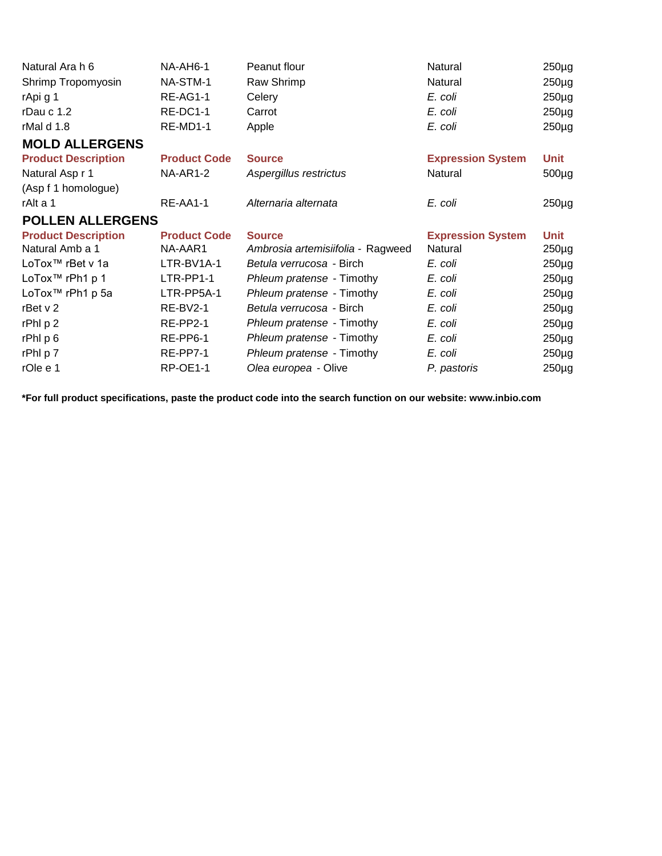| Natural Ara h 6              | NA-AH6-1            | Peanut flour                      | Natural                  | $250\mug$   |
|------------------------------|---------------------|-----------------------------------|--------------------------|-------------|
| Shrimp Tropomyosin           | NA-STM-1            | Raw Shrimp                        | Natural                  | $250\mug$   |
| rApi g 1                     | <b>RE-AG1-1</b>     | Celery                            | E. coli                  | $250\mug$   |
| rDau c $1.2$                 | RE-DC1-1            | Carrot                            | E. coli                  | $250\mug$   |
| rMal d 1.8                   | RE-MD1-1            | Apple                             | E. coli                  | $250\mug$   |
| <b>MOLD ALLERGENS</b>        |                     |                                   |                          |             |
| <b>Product Description</b>   | <b>Product Code</b> | <b>Source</b>                     | <b>Expression System</b> | Unit        |
| Natural Asp r 1              | <b>NA-AR1-2</b>     | Aspergillus restrictus            | Natural                  | $500\mug$   |
| (Asp f 1 homologue)          |                     |                                   |                          |             |
| rAlt a 1                     | RE-AA1-1            | Alternaria alternata              | E. coli                  | $250\mug$   |
| <b>POLLEN ALLERGENS</b>      |                     |                                   |                          |             |
| <b>Product Description</b>   | <b>Product Code</b> | <b>Source</b>                     | <b>Expression System</b> | <b>Unit</b> |
| Natural Amb a 1              | NA-AAR1             | Ambrosia artemisiifolia - Ragweed | Natural                  | $250\mug$   |
| LoTox™ rBet v 1a             | LTR-BV1A-1          | Betula verrucosa - Birch          | E. coli                  | $250\mug$   |
| LoTox <sup>™</sup> rPh1 p 1  | LTR-PP1-1           | Phleum pratense - Timothy         | E. coli                  | $250\mug$   |
| LoTox <sup>™</sup> rPh1 p 5a | LTR-PP5A-1          | Phleum pratense - Timothy         | E. coli                  | $250\mug$   |
| rBet $\vee$ 2                | <b>RE-BV2-1</b>     | Betula verrucosa - Birch          | E. coli                  | $250\mug$   |
| rPhl p 2                     | <b>RE-PP2-1</b>     | Phleum pratense - Timothy         | E. coli                  | $250\mug$   |
| rPhl p 6                     | RE-PP6-1            | Phleum pratense - Timothy         | E. coli                  | $250\mug$   |
| rPhI p 7                     | RE-PP7-1            | Phleum pratense - Timothy         | E. coli                  | $250\mug$   |
| rOle e 1                     | <b>RP-OE1-1</b>     | Olea europea - Olive              | P. pastoris              | $250\mug$   |
|                              |                     |                                   |                          |             |

**\*For full product specifications, paste the product code into the search function on our website: www.inbio.com**